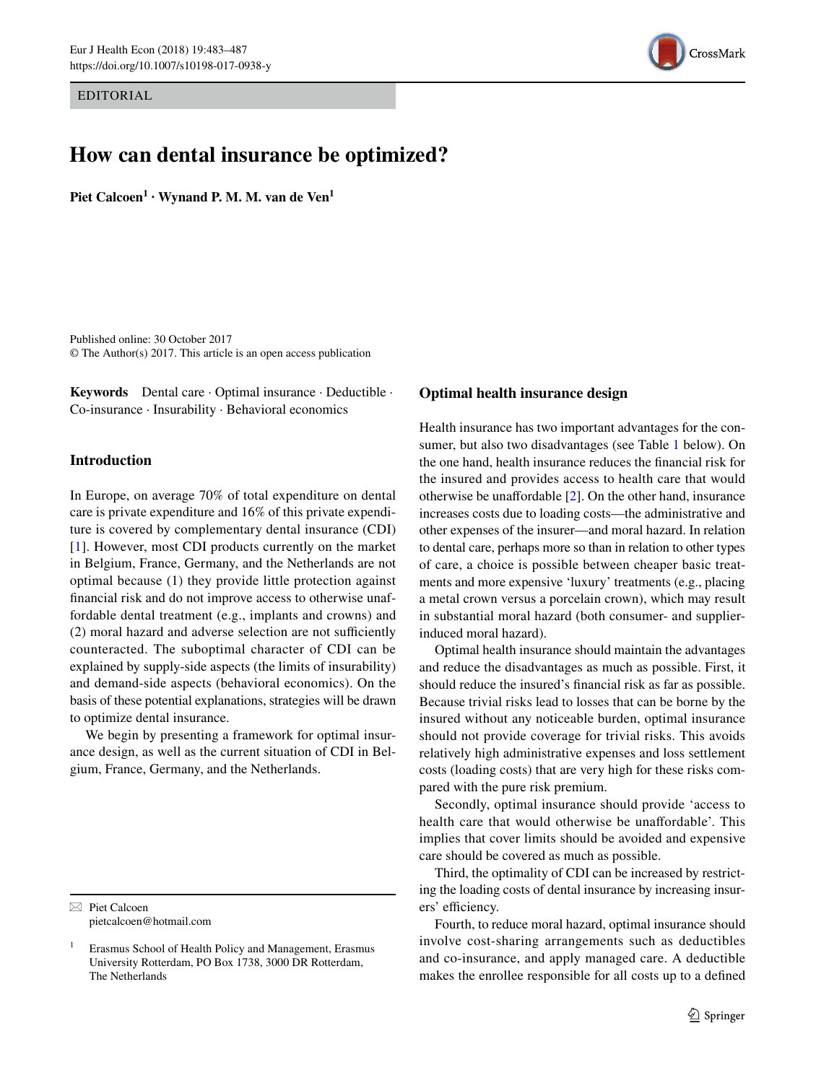EDITORIAL

# **How can dental insurance be optimized?**

**Piet Calcoen1 · Wynand P. M. M. van de Ven1**

Published online: 30 October 2017 © The Author(s) 2017. This article is an open access publication

**Keywords** Dental care · Optimal insurance · Deductible · Co-insurance · Insurability · Behavioral economics

## **Introduction**

In Europe, on average 70% of total expenditure on dental care is private expenditure and 16% of this private expenditure is covered by complementary dental insurance (CDI) [\[1\]](#page-4-1). However, most CDI products currently on the market in Belgium, France, Germany, and the Netherlands are not optimal because (1) they provide little protection against fnancial risk and do not improve access to otherwise unaffordable dental treatment (e.g., implants and crowns) and  $(2)$  moral hazard and adverse selection are not sufficiently counteracted. The suboptimal character of CDI can be explained by supply-side aspects (the limits of insurability) and demand-side aspects (behavioral economics). On the basis of these potential explanations, strategies will be drawn to optimize dental insurance.

We begin by presenting a framework for optimal insurance design, as well as the current situation of CDI in Belgium, France, Germany, and the Netherlands.

 $\boxtimes$  Piet Calcoen pietcalcoen@hotmail.com

# **Optimal health insurance design**

Health insurance has two important advantages for the consumer, but also two disadvantages (see Table [1](#page-1-0) below). On the one hand, health insurance reduces the fnancial risk for the insured and provides access to health care that would otherwise be unafordable [[2\]](#page-4-0). On the other hand, insurance increases costs due to loading costs—the administrative and other expenses of the insurer—and moral hazard. In relation to dental care, perhaps more so than in relation to other types of care, a choice is possible between cheaper basic treatments and more expensive 'luxury' treatments (e.g., placing a metal crown versus a porcelain crown), which may result in substantial moral hazard (both consumer- and supplierinduced moral hazard).

Optimal health insurance should maintain the advantages and reduce the disadvantages as much as possible. First, it should reduce the insured's fnancial risk as far as possible. Because trivial risks lead to losses that can be borne by the insured without any noticeable burden, optimal insurance should not provide coverage for trivial risks. This avoids relatively high administrative expenses and loss settlement costs (loading costs) that are very high for these risks compared with the pure risk premium.

Secondly, optimal insurance should provide 'access to health care that would otherwise be unafordable'. This implies that cover limits should be avoided and expensive care should be covered as much as possible.

Third, the optimality of CDI can be increased by restricting the loading costs of dental insurance by increasing insurers' efficiency.

Fourth, to reduce moral hazard, optimal insurance should involve cost-sharing arrangements such as deductibles and co-insurance, and apply managed care. A deductible makes the enrollee responsible for all costs up to a defned



<sup>1</sup> Erasmus School of Health Policy and Management, Erasmus University Rotterdam, PO Box 1738, 3000 DR Rotterdam, The Netherlands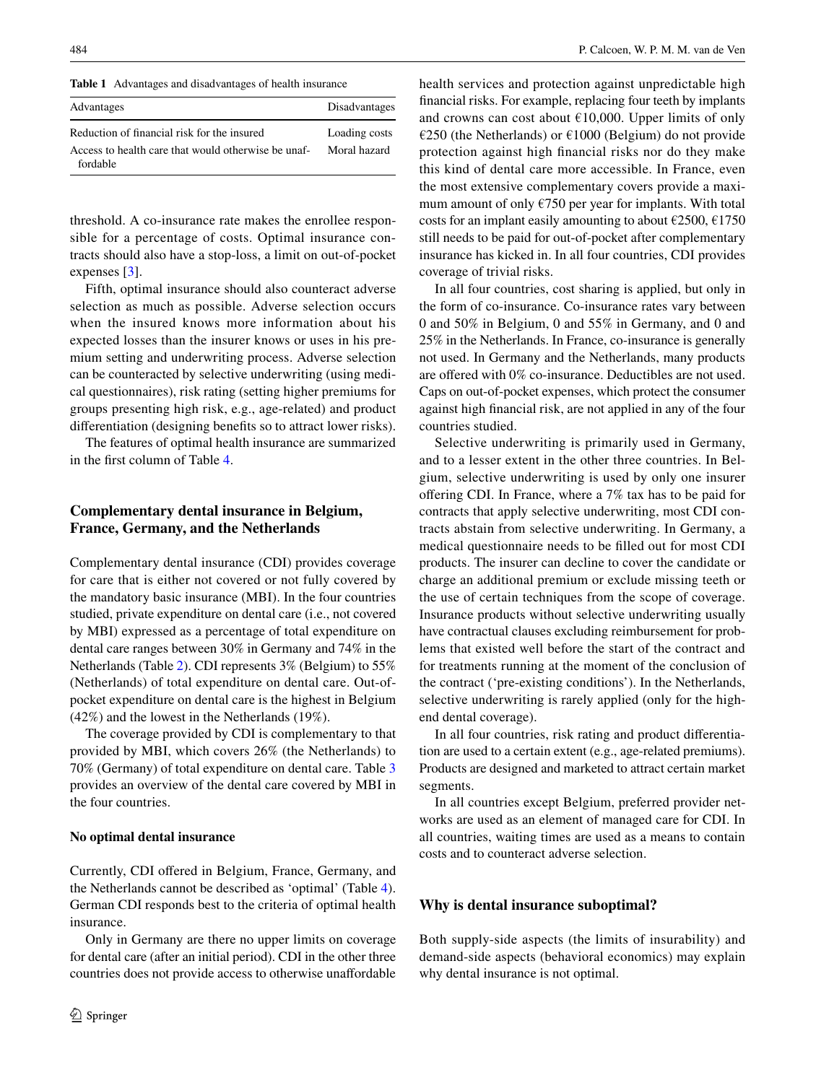<span id="page-1-0"></span>**Table 1** Advantages and disadvantages of health insurance

| Advantages                                                      | Disadvantages |
|-----------------------------------------------------------------|---------------|
| Reduction of financial risk for the insured                     | Loading costs |
| Access to health care that would otherwise be unaf-<br>fordable | Moral hazard  |

threshold. A co-insurance rate makes the enrollee responsible for a percentage of costs. Optimal insurance contracts should also have a stop-loss, a limit on out-of-pocket expenses [\[3](#page-4-2)].

Fifth, optimal insurance should also counteract adverse selection as much as possible. Adverse selection occurs when the insured knows more information about his expected losses than the insurer knows or uses in his premium setting and underwriting process. Adverse selection can be counteracted by selective underwriting (using medical questionnaires), risk rating (setting higher premiums for groups presenting high risk, e.g., age-related) and product diferentiation (designing benefts so to attract lower risks).

The features of optimal health insurance are summarized in the frst column of Table [4](#page-2-0).

# **Complementary dental insurance in Belgium, France, Germany, and the Netherlands**

Complementary dental insurance (CDI) provides coverage for care that is either not covered or not fully covered by the mandatory basic insurance (MBI). In the four countries studied, private expenditure on dental care (i.e., not covered by MBI) expressed as a percentage of total expenditure on dental care ranges between 30% in Germany and 74% in the Netherlands (Table [2\)](#page-2-1). CDI represents 3% (Belgium) to 55% (Netherlands) of total expenditure on dental care. Out-ofpocket expenditure on dental care is the highest in Belgium (42%) and the lowest in the Netherlands (19%).

The coverage provided by CDI is complementary to that provided by MBI, which covers 26% (the Netherlands) to 70% (Germany) of total expenditure on dental care. Table [3](#page-2-2) provides an overview of the dental care covered by MBI in the four countries.

#### **No optimal dental insurance**

Currently, CDI ofered in Belgium, France, Germany, and the Netherlands cannot be described as 'optimal' (Table [4](#page-2-0)). German CDI responds best to the criteria of optimal health insurance.

Only in Germany are there no upper limits on coverage for dental care (after an initial period). CDI in the other three countries does not provide access to otherwise unafordable health services and protection against unpredictable high fnancial risks. For example, replacing four teeth by implants and crowns can cost about  $\epsilon$ 10,000. Upper limits of only  $\epsilon$ 250 (the Netherlands) or  $\epsilon$ 1000 (Belgium) do not provide protection against high fnancial risks nor do they make this kind of dental care more accessible. In France, even the most extensive complementary covers provide a maximum amount of only  $E$ 750 per year for implants. With total costs for an implant easily amounting to about  $\epsilon$ 2500,  $\epsilon$ 1750 still needs to be paid for out-of-pocket after complementary insurance has kicked in. In all four countries, CDI provides coverage of trivial risks.

In all four countries, cost sharing is applied, but only in the form of co-insurance. Co-insurance rates vary between 0 and 50% in Belgium, 0 and 55% in Germany, and 0 and 25% in the Netherlands. In France, co-insurance is generally not used. In Germany and the Netherlands, many products are offered with 0% co-insurance. Deductibles are not used. Caps on out-of-pocket expenses, which protect the consumer against high fnancial risk, are not applied in any of the four countries studied.

Selective underwriting is primarily used in Germany, and to a lesser extent in the other three countries. In Belgium, selective underwriting is used by only one insurer ofering CDI. In France, where a 7% tax has to be paid for contracts that apply selective underwriting, most CDI contracts abstain from selective underwriting. In Germany, a medical questionnaire needs to be flled out for most CDI products. The insurer can decline to cover the candidate or charge an additional premium or exclude missing teeth or the use of certain techniques from the scope of coverage. Insurance products without selective underwriting usually have contractual clauses excluding reimbursement for problems that existed well before the start of the contract and for treatments running at the moment of the conclusion of the contract ('pre-existing conditions'). In the Netherlands, selective underwriting is rarely applied (only for the highend dental coverage).

In all four countries, risk rating and product diferentiation are used to a certain extent (e.g., age-related premiums). Products are designed and marketed to attract certain market segments.

In all countries except Belgium, preferred provider networks are used as an element of managed care for CDI. In all countries, waiting times are used as a means to contain costs and to counteract adverse selection.

#### **Why is dental insurance suboptimal?**

Both supply-side aspects (the limits of insurability) and demand-side aspects (behavioral economics) may explain why dental insurance is not optimal.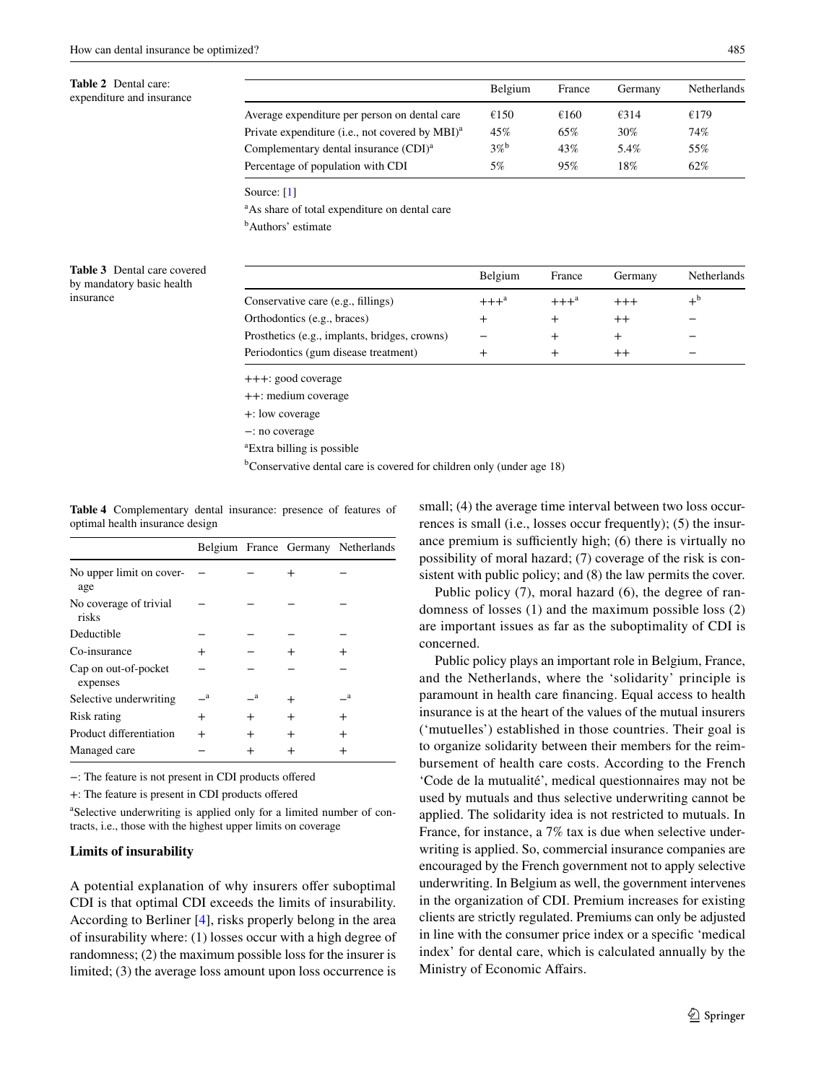<span id="page-2-1"></span>

| <b>Table 2</b> Dental care:<br>expenditure and insurance |                                                           | Belgium            | France | Germany | Netherlands |
|----------------------------------------------------------|-----------------------------------------------------------|--------------------|--------|---------|-------------|
|                                                          | Average expenditure per person on dental care             | €150               | €160   | €314    | €179        |
|                                                          | Private expenditure (i.e., not covered by $MBI)^a$ )      | 45%                | 65%    | 30%     | 74%         |
|                                                          | Complementary dental insurance (CDI) <sup>a</sup>         | $3\%$ <sup>b</sup> | 43%    | 5.4%    | 55%         |
|                                                          | Percentage of population with CDI                         | 5%                 | 95%    | 18%     | 62%         |
|                                                          | Source: $[1]$                                             |                    |        |         |             |
|                                                          | <sup>a</sup> As share of total expenditure on dental care |                    |        |         |             |
|                                                          |                                                           |                    |        |         |             |

<sup>b</sup>Authors' estimate

<span id="page-2-2"></span>**Table 3** Dental care covered by mandatory basic health insurance

|                                               | Belgium | France  | Germany  | <b>Netherlands</b> |
|-----------------------------------------------|---------|---------|----------|--------------------|
| Conservative care (e.g., fillings)            | $+++^a$ | $+++^a$ | $^{+++}$ | $+^{\circ}$        |
| Orthodontics (e.g., braces)                   |         |         | $^{++}$  |                    |
| Prosthetics (e.g., implants, bridges, crowns) |         |         |          |                    |
| Periodontics (gum disease treatment)          |         |         |          |                    |

+++: good coverage

++: medium coverage

+: low coverage

−: no coverage

a Extra billing is possible

<sup>b</sup>Conservative dental care is covered for children only (under age 18)

<span id="page-2-0"></span>**Table 4** Complementary dental insurance: presence of features of optimal health insurance design

|                                  |       |        |       | Belgium France Germany Netherlands |
|----------------------------------|-------|--------|-------|------------------------------------|
| No upper limit on cover-<br>age  |       |        |       |                                    |
| No coverage of trivial<br>risks  |       |        |       |                                    |
| Deductible                       |       |        |       |                                    |
| Co-insurance                     | +     |        |       |                                    |
| Cap on out-of-pocket<br>expenses |       |        |       |                                    |
| Selective underwriting           | a     | - a    | $\pm$ | - a                                |
| Risk rating                      | ٠     | $\, +$ |       |                                    |
| Product differentiation          | $\pm$ | +      |       |                                    |
| Managed care                     |       | ┿      |       |                                    |

−: The feature is not present in CDI products ofered

+: The feature is present in CDI products ofered

a Selective underwriting is applied only for a limited number of contracts, i.e., those with the highest upper limits on coverage

#### **Limits of insurability**

A potential explanation of why insurers offer suboptimal CDI is that optimal CDI exceeds the limits of insurability. According to Berliner [\[4](#page-4-3)], risks properly belong in the area of insurability where: (1) losses occur with a high degree of randomness; (2) the maximum possible loss for the insurer is limited; (3) the average loss amount upon loss occurrence is

small; (4) the average time interval between two loss occurrences is small (i.e., losses occur frequently); (5) the insurance premium is sufficiently high;  $(6)$  there is virtually no possibility of moral hazard; (7) coverage of the risk is consistent with public policy; and (8) the law permits the cover. Public policy (7), moral hazard (6), the degree of ran-

domness of losses (1) and the maximum possible loss (2) are important issues as far as the suboptimality of CDI is concerned.

Public policy plays an important role in Belgium, France, and the Netherlands, where the 'solidarity' principle is paramount in health care fnancing. Equal access to health insurance is at the heart of the values of the mutual insurers ('mutuelles') established in those countries. Their goal is to organize solidarity between their members for the reimbursement of health care costs. According to the French 'Code de la mutualité', medical questionnaires may not be used by mutuals and thus selective underwriting cannot be applied. The solidarity idea is not restricted to mutuals. In France, for instance, a 7% tax is due when selective underwriting is applied. So, commercial insurance companies are encouraged by the French government not to apply selective underwriting. In Belgium as well, the government intervenes in the organization of CDI. Premium increases for existing clients are strictly regulated. Premiums can only be adjusted in line with the consumer price index or a specifc 'medical index' for dental care, which is calculated annually by the Ministry of Economic Afairs.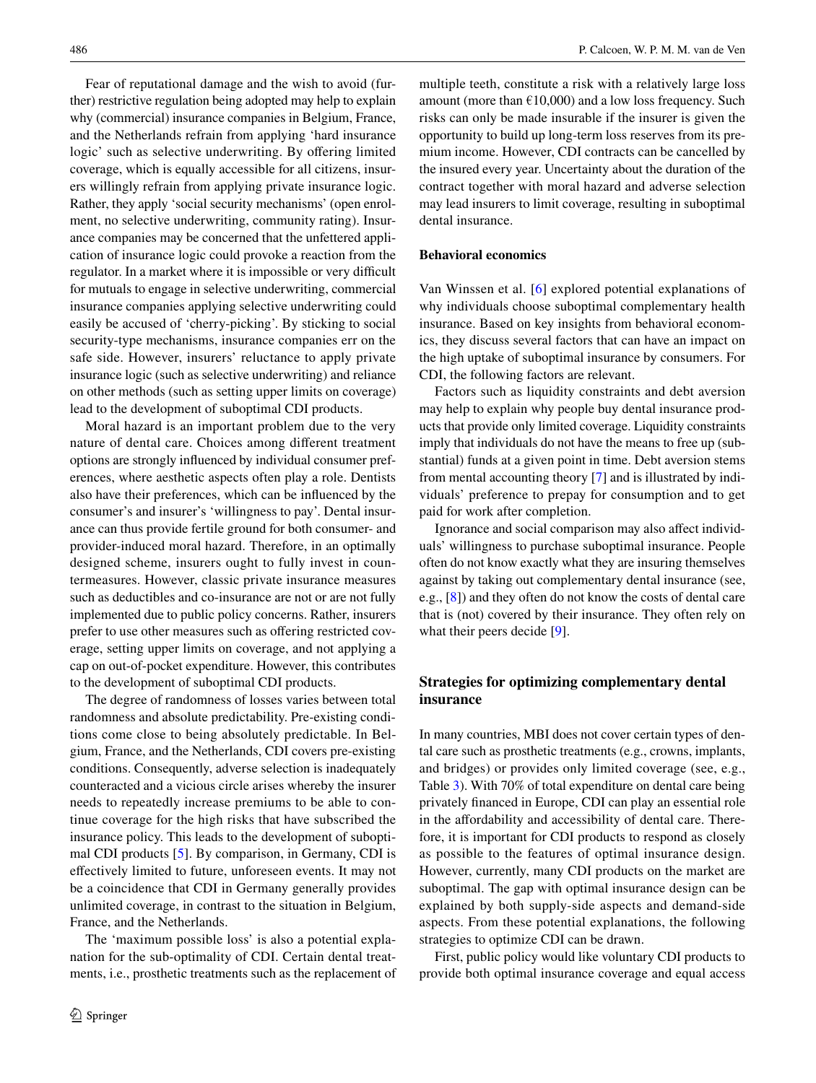Fear of reputational damage and the wish to avoid (further) restrictive regulation being adopted may help to explain why (commercial) insurance companies in Belgium, France, and the Netherlands refrain from applying 'hard insurance logic' such as selective underwriting. By offering limited coverage, which is equally accessible for all citizens, insurers willingly refrain from applying private insurance logic. Rather, they apply 'social security mechanisms' (open enrolment, no selective underwriting, community rating). Insurance companies may be concerned that the unfettered application of insurance logic could provoke a reaction from the regulator. In a market where it is impossible or very difficult for mutuals to engage in selective underwriting, commercial insurance companies applying selective underwriting could easily be accused of 'cherry-picking'. By sticking to social security-type mechanisms, insurance companies err on the safe side. However, insurers' reluctance to apply private insurance logic (such as selective underwriting) and reliance on other methods (such as setting upper limits on coverage) lead to the development of suboptimal CDI products.

Moral hazard is an important problem due to the very nature of dental care. Choices among diferent treatment options are strongly infuenced by individual consumer preferences, where aesthetic aspects often play a role. Dentists also have their preferences, which can be infuenced by the consumer's and insurer's 'willingness to pay'. Dental insurance can thus provide fertile ground for both consumer- and provider-induced moral hazard. Therefore, in an optimally designed scheme, insurers ought to fully invest in countermeasures. However, classic private insurance measures such as deductibles and co-insurance are not or are not fully implemented due to public policy concerns. Rather, insurers prefer to use other measures such as ofering restricted coverage, setting upper limits on coverage, and not applying a cap on out-of-pocket expenditure. However, this contributes to the development of suboptimal CDI products.

The degree of randomness of losses varies between total randomness and absolute predictability. Pre-existing conditions come close to being absolutely predictable. In Belgium, France, and the Netherlands, CDI covers pre-existing conditions. Consequently, adverse selection is inadequately counteracted and a vicious circle arises whereby the insurer needs to repeatedly increase premiums to be able to continue coverage for the high risks that have subscribed the insurance policy. This leads to the development of suboptimal CDI products [\[5\]](#page-4-4). By comparison, in Germany, CDI is efectively limited to future, unforeseen events. It may not be a coincidence that CDI in Germany generally provides unlimited coverage, in contrast to the situation in Belgium, France, and the Netherlands.

The 'maximum possible loss' is also a potential explanation for the sub-optimality of CDI. Certain dental treatments, i.e., prosthetic treatments such as the replacement of multiple teeth, constitute a risk with a relatively large loss amount (more than  $£10,000$ ) and a low loss frequency. Such risks can only be made insurable if the insurer is given the opportunity to build up long-term loss reserves from its premium income. However, CDI contracts can be cancelled by the insured every year. Uncertainty about the duration of the contract together with moral hazard and adverse selection may lead insurers to limit coverage, resulting in suboptimal dental insurance.

### **Behavioral economics**

Van Winssen et al. [[6](#page-4-5)] explored potential explanations of why individuals choose suboptimal complementary health insurance. Based on key insights from behavioral economics, they discuss several factors that can have an impact on the high uptake of suboptimal insurance by consumers. For CDI, the following factors are relevant.

Factors such as liquidity constraints and debt aversion may help to explain why people buy dental insurance products that provide only limited coverage. Liquidity constraints imply that individuals do not have the means to free up (substantial) funds at a given point in time. Debt aversion stems from mental accounting theory [[7\]](#page-4-6) and is illustrated by individuals' preference to prepay for consumption and to get paid for work after completion.

Ignorance and social comparison may also afect individuals' willingness to purchase suboptimal insurance. People often do not know exactly what they are insuring themselves against by taking out complementary dental insurance (see, e.g., [[8\]](#page-4-7)) and they often do not know the costs of dental care that is (not) covered by their insurance. They often rely on what their peers decide [\[9](#page-4-8)].

# **Strategies for optimizing complementary dental insurance**

In many countries, MBI does not cover certain types of dental care such as prosthetic treatments (e.g., crowns, implants, and bridges) or provides only limited coverage (see, e.g., Table [3\)](#page-2-2). With 70% of total expenditure on dental care being privately fnanced in Europe, CDI can play an essential role in the affordability and accessibility of dental care. Therefore, it is important for CDI products to respond as closely as possible to the features of optimal insurance design. However, currently, many CDI products on the market are suboptimal. The gap with optimal insurance design can be explained by both supply-side aspects and demand-side aspects. From these potential explanations, the following strategies to optimize CDI can be drawn.

First, public policy would like voluntary CDI products to provide both optimal insurance coverage and equal access